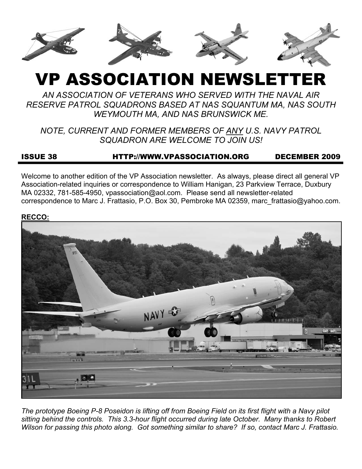

# VP ASSOCIATION NEWSLETTER

*AN ASSOCIATION OF VETERANS WHO SERVED WITH THE NAVAL AIR RESERVE PATROL SQUADRONS BASED AT NAS SQUANTUM MA, NAS SOUTH WEYMOUTH MA, AND NAS BRUNSWICK ME.* 

*NOTE, CURRENT AND FORMER MEMBERS OF ANY U.S. NAVY PATROL SQUADRON ARE WELCOME TO JOIN US!* 

# ISSUE 38 HTTP://WWW.VPASSOCIATION.ORG DECEMBER 2009

Welcome to another edition of the VP Association newsletter. As always, please direct all general VP Association-related inquiries or correspondence to William Hanigan, 23 Parkview Terrace, Duxbury MA 02332, 781-585-4950, vpassociation@aol.com. Please send all newsletter-related correspondence to Marc J. Frattasio, P.O. Box 30, Pembroke MA 02359, marc\_frattasio@yahoo.com.

#### **RECCO:**



*The prototype Boeing P-8 Poseidon is lifting off from Boeing Field on its first flight with a Navy pilot sitting behind the controls. This 3.3-hour flight occurred during late October. Many thanks to Robert Wilson for passing this photo along. Got something similar to share? If so, contact Marc J. Frattasio.*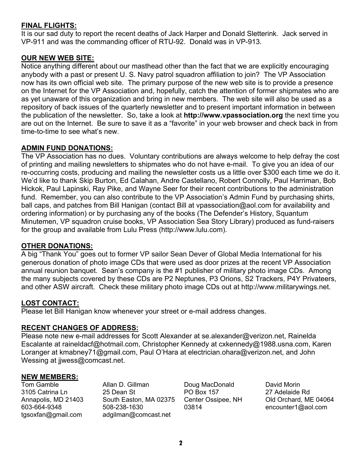### **FINAL FLIGHTS:**

It is our sad duty to report the recent deaths of Jack Harper and Donald Sletterink. Jack served in VP-911 and was the commanding officer of RTU-92. Donald was in VP-913.

## **OUR NEW WEB SITE:**

Notice anything different about our masthead other than the fact that we are explicitly encouraging anybody with a past or present U. S. Navy patrol squadron affiliation to join? The VP Association now has its own official web site. The primary purpose of the new web site is to provide a presence on the Internet for the VP Association and, hopefully, catch the attention of former shipmates who are as yet unaware of this organization and bring in new members. The web site will also be used as a repository of back issues of the quarterly newsletter and to present important information in between the publication of the newsletter. So, take a look at **http://www.vpassociation.org** the next time you are out on the Internet. Be sure to save it as a "favorite" in your web browser and check back in from time-to-time to see what's new.

#### **ADMIN FUND DONATIONS:**

The VP Association has no dues. Voluntary contributions are always welcome to help defray the cost of printing and mailing newsletters to shipmates who do not have e-mail. To give you an idea of our re-occurring costs, producing and mailing the newsletter costs us a little over \$300 each time we do it. We'd like to thank Skip Burton, Ed Calahan, Andre Castellano, Robert Connolly, Paul Harriman, Bob Hickok, Paul Lapinski, Ray Pike, and Wayne Seer for their recent contributions to the administration fund. Remember, you can also contribute to the VP Association's Admin Fund by purchasing shirts, ball caps, and patches from Bill Hanigan (contact Bill at vpassociation@aol.com for availability and ordering information) or by purchasing any of the books (The Defender's History, Squantum Minutemen, VP squadron cruise books, VP Association Sea Story Library) produced as fund-raisers for the group and available from Lulu Press (http://www.lulu.com).

#### **OTHER DONATIONS:**

A big "Thank You" goes out to former VP sailor Sean Dever of Global Media International for his generous donation of photo image CDs that were used as door prizes at the recent VP Association annual reunion banquet. Sean's company is the #1 publisher of military photo image CDs. Among the many subjects covered by these CDs are P2 Neptunes, P3 Orions, S2 Trackers, P4Y Privateers, and other ASW aircraft. Check these military photo image CDs out at http://www.militarywings.net.

#### **LOST CONTACT:**

Please let Bill Hanigan know whenever your street or e-mail address changes.

#### **RECENT CHANGES OF ADDRESS:**

Please note new e-mail addresses for Scott Alexander at se.alexander@verizon.net, Rainelda Escalante at raineldacf@hotmail.com, Christopher Kennedy at cxkennedy@1988.usna.com, Karen Loranger at kmabney71@gmail.com, Paul O'Hara at electrician.ohara@verizon.net, and John Wessing at jjwess@comcast.net.

#### **NEW MEMBERS:**

Tom Gamble 3105 Catrina Ln Annapolis, MD 21403 603-664-9348 tgsoxfan@gmail.com

Allan D. Gillman 25 Dean St South Easton, MA 02375 508-238-1630 adgilman@comcast.net

Doug MacDonald PO Box 157 Center Ossipee, NH 03814

David Morin 27 Adelaide Rd Old Orchard, ME 04064 encounter1@aol.com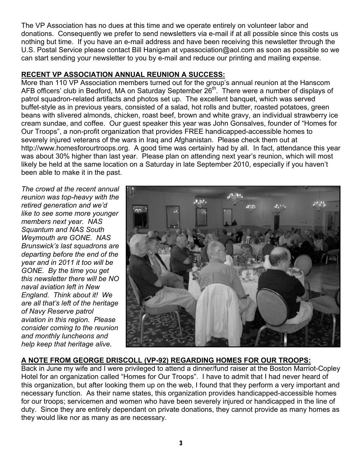The VP Association has no dues at this time and we operate entirely on volunteer labor and donations. Consequently we prefer to send newsletters via e-mail if at all possible since this costs us nothing but time. If you have an e-mail address and have been receiving this newsletter through the U.S. Postal Service please contact Bill Hanigan at vpassociation@aol.com as soon as possible so we can start sending your newsletter to you by e-mail and reduce our printing and mailing expense.

## **RECENT VP ASSOCIATION ANNUAL REUNION A SUCCESS:**

More than 110 VP Association members turned out for the group's annual reunion at the Hanscom AFB officers' club in Bedford, MA on Saturday September 26<sup>th</sup>. There were a number of displays of patrol squadron-related artifacts and photos set up. The excellent banquet, which was served buffet-style as in previous years, consisted of a salad, hot rolls and butter, roasted potatoes, green beans with slivered almonds, chicken, roast beef, brown and white gravy, an individual strawberry ice cream sundae, and coffee. Our guest speaker this year was John Gonsalves, founder of "Homes for Our Troops", a non-profit organization that provides FREE handicapped-accessible homes to severely injured veterans of the wars in Iraq and Afghanistan. Please check them out at http://www.homesforourtroops.org. A good time was certainly had by all. In fact, attendance this year was about 30% higher than last year. Please plan on attending next year's reunion, which will most likely be held at the same location on a Saturday in late September 2010, especially if you haven't been able to make it in the past.

*The crowd at the recent annual reunion was top-heavy with the retired generation and we'd like to see some more younger members next year. NAS Squantum and NAS South Weymouth are GONE. NAS Brunswick's last squadrons are departing before the end of the year and in 2011 it too will be GONE. By the time you get this newsletter there will be NO naval aviation left in New England. Think about it! We are all that's left of the heritage of Navy Reserve patrol aviation in this region. Please consider coming to the reunion and monthly luncheons and help keep that heritage alive.* 



# **A NOTE FROM GEORGE DRISCOLL (VP-92) REGARDING HOMES FOR OUR TROOPS:**

Back in June my wife and I were privileged to attend a dinner/fund raiser at the Boston Marriot-Copley Hotel for an organization called "Homes for Our Troops". I have to admit that I had never heard of this organization, but after looking them up on the web, I found that they perform a very important and necessary function. As their name states, this organization provides handicapped-accessible homes for our troops; servicemen and women who have been severely injured or handicapped in the line of duty. Since they are entirely dependant on private donations, they cannot provide as many homes as they would like nor as many as are necessary.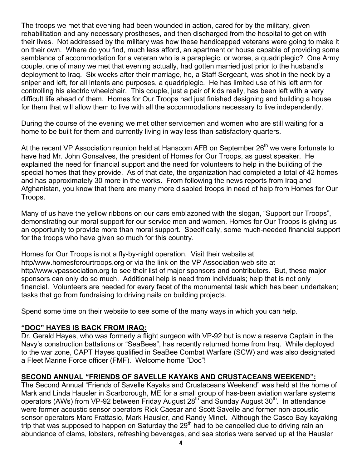The troops we met that evening had been wounded in action, cared for by the military, given rehabilitation and any necessary prostheses, and then discharged from the hospital to get on with their lives. Not addressed by the military was how these handicapped veterans were going to make it on their own. Where do you find, much less afford, an apartment or house capable of providing some semblance of accommodation for a veteran who is a paraplegic, or worse, a quadriplegic? One Army couple, one of many we met that evening actually, had gotten married just prior to the husband's deployment to Iraq. Six weeks after their marriage, he, a Staff Sergeant, was shot in the neck by a sniper and left, for all intents and purposes, a quadriplegic. He has limited use of his left arm for controlling his electric wheelchair. This couple, just a pair of kids really, has been left with a very difficult life ahead of them. Homes for Our Troops had just finished designing and building a house for them that will allow them to live with all the accommodations necessary to live independently.

During the course of the evening we met other servicemen and women who are still waiting for a home to be built for them and currently living in way less than satisfactory quarters.

At the recent VP Association reunion held at Hanscom AFB on September 26<sup>th</sup> we were fortunate to have had Mr. John Gonsalves, the president of Homes for Our Troops, as guest speaker. He explained the need for financial support and the need for volunteers to help in the building of the special homes that they provide. As of that date, the organization had completed a total of 42 homes and has approximately 30 more in the works. From following the news reports from Iraq and Afghanistan, you know that there are many more disabled troops in need of help from Homes for Our Troops.

Many of us have the yellow ribbons on our cars emblazoned with the slogan, "Support our Troops", demonstrating our moral support for our service men and women. Homes for Our Troops is giving us an opportunity to provide more than moral support. Specifically, some much-needed financial support for the troops who have given so much for this country.

Homes for Our Troops is not a fly-by-night operation. Visit their website at http/www.homesforourtroops.org or via the link on the VP Association web site at http//www.vpassociation.org to see their list of major sponsors and contributors. But, these major sponsors can only do so much. Additional help is need from individuals; help that is not only financial. Volunteers are needed for every facet of the monumental task which has been undertaken; tasks that go from fundraising to driving nails on building projects.

Spend some time on their website to see some of the many ways in which you can help.

### **"DOC" HAYES IS BACK FROM IRAQ:**

Dr. Gerald Hayes, who was formerly a flight surgeon with VP-92 but is now a reserve Captain in the Navy's construction battalions or "SeaBees", has recently returned home from Iraq. While deployed to the war zone, CAPT Hayes qualified in SeaBee Combat Warfare (SCW) and was also designated a Fleet Marine Force officer (FMF). Welcome home "Doc"!

### **SECOND ANNUAL "FRIENDS OF SAVELLE KAYAKS AND CRUSTACEANS WEEKEND":**

The Second Annual "Friends of Savelle Kayaks and Crustaceans Weekend" was held at the home of Mark and Linda Hausler in Scarborough, ME for a small group of has-been aviation warfare systems operators (AWs) from VP-92 between Friday August  $28<sup>th</sup>$  and Sunday August  $30<sup>th</sup>$ . In attendance were former acoustic sensor operators Rick Caesar and Scott Savelle and former non-acoustic sensor operators Marc Frattasio, Mark Hausler, and Randy Minet. Although the Casco Bay kayaking trip that was supposed to happen on Saturday the  $29<sup>th</sup>$  had to be cancelled due to driving rain an abundance of clams, lobsters, refreshing beverages, and sea stories were served up at the Hausler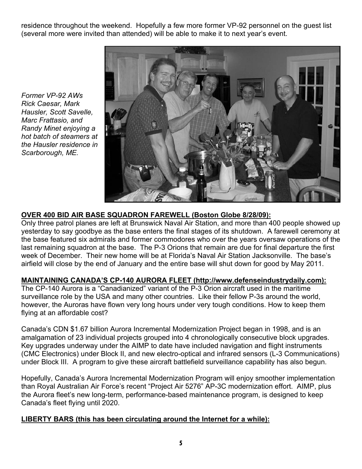residence throughout the weekend. Hopefully a few more former VP-92 personnel on the guest list (several more were invited than attended) will be able to make it to next year's event.

*Former VP-92 AWs Rick Caesar, Mark Hausler, Scott Savelle, Marc Frattasio, and Randy Minet enjoying a hot batch of steamers at the Hausler residence in Scarborough, ME.* 



## **OVER 400 BID AIR BASE SQUADRON FAREWELL (Boston Globe 8/28/09):**

Only three patrol planes are left at Brunswick Naval Air Station, and more than 400 people showed up yesterday to say goodbye as the base enters the final stages of its shutdown. A farewell ceremony at the base featured six admirals and former commodores who over the years oversaw operations of the last remaining squadron at the base. The P-3 Orions that remain are due for final departure the first week of December. Their new home will be at Florida's Naval Air Station Jacksonville. The base's airfield will close by the end of January and the entire base will shut down for good by May 2011.

# **MAINTAINING CANADA'S CP-140 AURORA FLEET (http://www.defenseindustrydaily.com):**

The CP-140 Aurora is a "Canadianized" variant of the P-3 Orion aircraft used in the maritime surveillance role by the USA and many other countries. Like their fellow P-3s around the world, however, the Auroras have flown very long hours under very tough conditions. How to keep them flying at an affordable cost?

Canada's CDN \$1.67 billion Aurora Incremental Modernization Project began in 1998, and is an amalgamation of 23 individual projects grouped into 4 chronologically consecutive block upgrades. Key upgrades underway under the AIMP to date have included navigation and flight instruments (CMC Electronics) under Block II, and new electro-optical and infrared sensors (L-3 Communications) under Block III. A program to give these aircraft battlefield surveillance capability has also begun.

Hopefully, Canada's Aurora Incremental Modernization Program will enjoy smoother implementation than Royal Australian Air Force's recent "Project Air 5276" AP-3C modernization effort. AIMP, plus the Aurora fleet's new long-term, performance-based maintenance program, is designed to keep Canada's fleet flying until 2020.

# **LIBERTY BARS (this has been circulating around the Internet for a while):**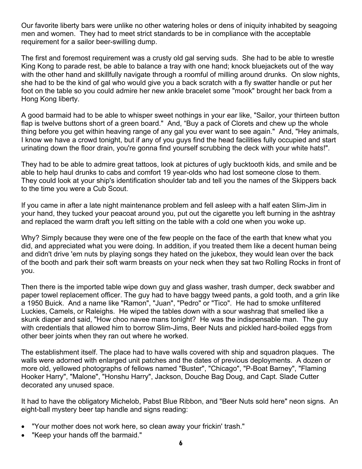Our favorite liberty bars were unlike no other watering holes or dens of iniquity inhabited by seagoing men and women. They had to meet strict standards to be in compliance with the acceptable requirement for a sailor beer-swilling dump.

The first and foremost requirement was a crusty old gal serving suds. She had to be able to wrestle King Kong to parade rest, be able to balance a tray with one hand; knock bluejackets out of the way with the other hand and skillfully navigate through a roomful of milling around drunks. On slow nights, she had to be the kind of gal who would give you a back scratch with a fly swatter handle or put her foot on the table so you could admire her new ankle bracelet some "mook" brought her back from a Hong Kong liberty.

A good barmaid had to be able to whisper sweet nothings in your ear like, "Sailor, your thirteen button flap is twelve buttons short of a green board." And, "Buy a pack of Clorets and chew up the whole thing before you get within heaving range of any gal you ever want to see again." And, "Hey animals, I know we have a crowd tonight, but if any of you guys find the head facilities fully occupied and start urinating down the floor drain, you're gonna find yourself scrubbing the deck with your white hats!".

They had to be able to admire great tattoos, look at pictures of ugly bucktooth kids, and smile and be able to help haul drunks to cabs and comfort 19 year-olds who had lost someone close to them. They could look at your ship's identification shoulder tab and tell you the names of the Skippers back to the time you were a Cub Scout.

If you came in after a late night maintenance problem and fell asleep with a half eaten Slim-Jim in your hand, they tucked your peacoat around you, put out the cigarette you left burning in the ashtray and replaced the warm draft you left sitting on the table with a cold one when you woke up.

Why? Simply because they were one of the few people on the face of the earth that knew what you did, and appreciated what you were doing. In addition, if you treated them like a decent human being and didn't drive 'em nuts by playing songs they hated on the jukebox, they would lean over the back of the booth and park their soft warm breasts on your neck when they sat two Rolling Rocks in front of you.

Then there is the imported table wipe down guy and glass washer, trash dumper, deck swabber and paper towel replacement officer. The guy had to have baggy tweed pants, a gold tooth, and a grin like a 1950 Buick. And a name like "Ramon", "Juan", "Pedro" or "Tico". He had to smoke unfiltered Luckies, Camels, or Raleighs. He wiped the tables down with a sour washrag that smelled like a skunk diaper and said, "How choo navee mans tonight? He was the indispensable man. The guy with credentials that allowed him to borrow Slim-Jims, Beer Nuts and pickled hard-boiled eggs from other beer joints when they ran out where he worked.

The establishment itself. The place had to have walls covered with ship and squadron plaques. The walls were adorned with enlarged unit patches and the dates of previous deployments. A dozen or more old, yellowed photographs of fellows named "Buster", "Chicago", "P-Boat Barney", "Flaming Hooker Harry", "Malone", "Honshu Harry", Jackson, Douche Bag Doug, and Capt. Slade Cutter decorated any unused space.

It had to have the obligatory Michelob, Pabst Blue Ribbon, and "Beer Nuts sold here" neon signs. An eight-ball mystery beer tap handle and signs reading:

- "Your mother does not work here, so clean away your frickin' trash."
- "Keep your hands off the barmaid."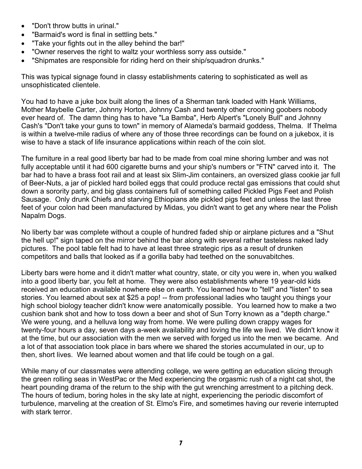- "Don't throw butts in urinal."
- "Barmaid's word is final in settling bets."
- "Take your fights out in the alley behind the bar!"
- "Owner reserves the right to waltz your worthless sorry ass outside."
- "Shipmates are responsible for riding herd on their ship/squadron drunks."

This was typical signage found in classy establishments catering to sophisticated as well as unsophisticated clientele.

You had to have a juke box built along the lines of a Sherman tank loaded with Hank Williams, Mother Maybelle Carter, Johnny Horton, Johnny Cash and twenty other crooning goobers nobody ever heard of. The damn thing has to have "La Bamba", Herb Alpert's "Lonely Bull" and Johnny Cash's "Don't take your guns to town" in memory of Alameda's barmaid goddess, Thelma. If Thelma is within a twelve-mile radius of where any of those three recordings can be found on a jukebox, it is wise to have a stack of life insurance applications within reach of the coin slot.

The furniture in a real good liberty bar had to be made from coal mine shoring lumber and was not fully acceptable until it had 600 cigarette burns and your ship's numbers or "FTN" carved into it. The bar had to have a brass foot rail and at least six Slim-Jim containers, an oversized glass cookie jar full of Beer-Nuts, a jar of pickled hard boiled eggs that could produce rectal gas emissions that could shut down a sorority party, and big glass containers full of something called Pickled Pigs Feet and Polish Sausage. Only drunk Chiefs and starving Ethiopians ate pickled pigs feet and unless the last three feet of your colon had been manufactured by Midas, you didn't want to get any where near the Polish Napalm Dogs.

No liberty bar was complete without a couple of hundred faded ship or airplane pictures and a "Shut the hell up!" sign taped on the mirror behind the bar along with several rather tasteless naked lady pictures. The pool table felt had to have at least three strategic rips as a result of drunken competitors and balls that looked as if a gorilla baby had teethed on the sonuvabitches.

Liberty bars were home and it didn't matter what country, state, or city you were in, when you walked into a good liberty bar, you felt at home. They were also establishments where 19 year-old kids received an education available nowhere else on earth. You learned how to "tell" and "listen" to sea stories. You learned about sex at \$25 a pop! -- from professional ladies who taught you things your high school biology teacher didn't know were anatomically possible. You learned how to make a two cushion bank shot and how to toss down a beer and shot of Sun Torry known as a "depth charge." We were young, and a helluva long way from home. We were pulling down crappy wages for twenty-four hours a day, seven days a-week availability and loving the life we lived. We didn't know it at the time, but our association with the men we served with forged us into the men we became. And a lot of that association took place in bars where we shared the stories accumulated in our, up to then, short lives. We learned about women and that life could be tough on a gal.

While many of our classmates were attending college, we were getting an education slicing through the green rolling seas in WestPac or the Med experiencing the orgasmic rush of a night cat shot, the heart pounding drama of the return to the ship with the gut wrenching arrestment to a pitching deck. The hours of tedium, boring holes in the sky late at night, experiencing the periodic discomfort of turbulence, marveling at the creation of St. Elmo's Fire, and sometimes having our reverie interrupted with stark terror.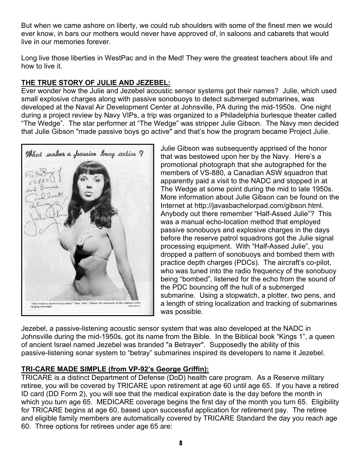But when we came ashore on liberty, we could rub shoulders with some of the finest men we would ever know, in bars our mothers would never have approved of, in saloons and cabarets that would live in our memories forever.

Long live those liberties in WestPac and in the Med! They were the greatest teachers about life and how to live it.

# **THE TRUE STORY OF JULIE AND JEZEBEL:**

Ever wonder how the Julie and Jezebel acoustic sensor systems got their names? Julie, which used small explosive charges along with passive sonobuoys to detect submerged submarines, was developed at the Naval Air Development Center at Johnsville, PA during the mid-1950s. One night during a project review by Navy VIPs, a trip was organized to a Philadelphia burlesque theater called "The Wedge". The star performer at "The Wedge" was stripper Julie Gibson. The Navy men decided that Julie Gibson "made passive boys go active" and that's how the program became Project Julie.



Julie Gibson was subsequently apprised of the honor that was bestowed upon her by the Navy. Here's a promotional photograph that she autographed for the members of VS-880, a Canadian ASW squadron that apparently paid a visit to the NADC and stopped in at The Wedge at some point during the mid to late 1950s. More information about Julie Gibson can be found on the Internet at http://javasbachelorpad.com/gibson.html. Anybody out there remember "Half-Assed Julie"? This was a manual echo-location method that employed passive sonobuoys and explosive charges in the days before the reserve patrol squadrons got the Julie signal processing equipment. With "Half-Assed Julie", you dropped a pattern of sonobuoys and bombed them with practice depth charges (PDCs). The aircraft's co-pilot, who was tuned into the radio frequency of the sonobuoy being "bombed", listened for the echo from the sound of the PDC bouncing off the hull of a submerged submarine. Using a stopwatch, a plotter, two pens, and a length of string localization and tracking of submarines was possible.

Jezebel, a passive-listening acoustic sensor system that was also developed at the NADC in Johnsville during the mid-1950s, got its name from the Bible. In the Biblical book "Kings 1", a queen of ancient Israel named Jezebel was branded "a Betrayer". Supposedly the ability of this passive-listening sonar system to "betray" submarines inspired its developers to name it Jezebel.

# **TRI-CARE MADE SIMPLE (from VP-92's George Griffin):**

TRICARE is a distinct Department of Defense (DoD) health care program. As a Reserve military retiree, you will be covered by TRICARE upon retirement at age 60 until age 65. If you have a retired ID card (DD Form 2), you will see that the medical expiration date is the day before the month in which you turn age 65. MEDICARE coverage begins the first day of the month you turn 65. Eligibility for TRICARE begins at age 60, based upon successful application for retirement pay. The retiree and eligible family members are automatically covered by TRICARE Standard the day you reach age 60. Three options for retirees under age 65 are: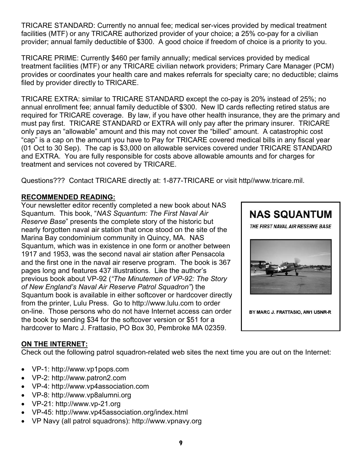TRICARE STANDARD: Currently no annual fee; medical ser-vices provided by medical treatment facilities (MTF) or any TRICARE authorized provider of your choice; a 25% co-pay for a civilian provider; annual family deductible of \$300. A good choice if freedom of choice is a priority to you.

TRICARE PRIME: Currently \$460 per family annually; medical services provided by medical treatment facilities (MTF) or any TRICARE civilian network providers; Primary Care Manager (PCM) provides or coordinates your health care and makes referrals for specialty care; no deductible; claims filed by provider directly to TRICARE.

TRICARE EXTRA: similar to TRICARE STANDARD except the co-pay is 20% instead of 25%; no annual enrollment fee; annual family deductible of \$300. New ID cards reflecting retired status are required for TRICARE coverage. By law, if you have other health insurance, they are the primary and must pay first. TRICARE STANDARD or EXTRA will only pay after the primary insurer. TRICARE only pays an "allowable" amount and this may not cover the "billed" amount. A catastrophic cost "cap" is a cap on the amount you have to Pay for TRICARE covered medical bills in any fiscal year (01 Oct to 30 Sep). The cap is \$3,000 on allowable services covered under TRICARE STANDARD and EXTRA. You are fully responsible for costs above allowable amounts and for charges for treatment and services not covered by TRICARE.

Questions??? Contact TRICARE directly at: 1-877-TRICARE or visit http//www.tricare.mil.

# **RECOMMENDED READING:**

Your newsletter editor recently completed a new book about NAS Squantum. This book, "*NAS Squantum: The First Naval Air Reserve Base*" presents the complete story of the historic but nearly forgotten naval air station that once stood on the site of the Marina Bay condominium community in Quincy, MA. NAS Squantum, which was in existence in one form or another between 1917 and 1953, was the second naval air station after Pensacola and the first one in the naval air reserve program. The book is 367 pages long and features 437 illustrations. Like the author's previous book about VP-92 (*"The Minutemen of VP-92: The Story of New England's Naval Air Reserve Patrol Squadron"*) the Squantum book is available in either softcover or hardcover directly from the printer, Lulu Press. Go to http://www.lulu.com to order on-line. Those persons who do not have Internet access can order the book by sending \$34 for the softcover version or \$51 for a hardcover to Marc J. Frattasio, PO Box 30, Pembroke MA 02359.



# **ON THE INTERNET:**

Check out the following patrol squadron-related web sites the next time you are out on the Internet:

- VP-1: http://www.vp1pops.com
- VP-2: http://www.patron2.com
- VP-4: http://www.vp4association.com
- VP-8: http://www.vp8alumni.org
- VP-21: http://www.vp-21.org
- VP-45: http://www.vp45association.org/index.html
- VP Navy (all patrol squadrons): http://www.vpnavy.org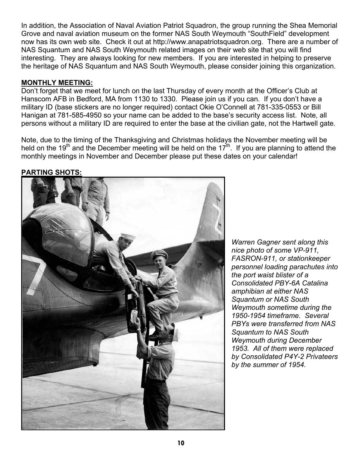In addition, the Association of Naval Aviation Patriot Squadron, the group running the Shea Memorial Grove and naval aviation museum on the former NAS South Weymouth "SouthField" development now has its own web site. Check it out at http://www.anapatriotsquadron.org. There are a number of NAS Squantum and NAS South Weymouth related images on their web site that you will find interesting. They are always looking for new members. If you are interested in helping to preserve the heritage of NAS Squantum and NAS South Weymouth, please consider joining this organization.

### **MONTHLY MEETING:**

Don't forget that we meet for lunch on the last Thursday of every month at the Officer's Club at Hanscom AFB in Bedford, MA from 1130 to 1330. Please join us if you can. If you don't have a military ID (base stickers are no longer required) contact Okie O'Connell at 781-335-0553 or Bill Hanigan at 781-585-4950 so your name can be added to the base's security access list. Note, all persons without a military ID are required to enter the base at the civilian gate, not the Hartwell gate.

Note, due to the timing of the Thanksgiving and Christmas holidays the November meeting will be held on the 19<sup>th</sup> and the December meeting will be held on the 17<sup>th</sup>. If you are planning to attend the monthly meetings in November and December please put these dates on your calendar!

#### **PARTING SHOTS:**



*Warren Gagner sent along this nice photo of some VP-911, FASRON-911, or stationkeeper personnel loading parachutes into the port waist blister of a Consolidated PBY-6A Catalina amphibian at either NAS Squantum or NAS South Weymouth sometime during the 1950-1954 timeframe. Several PBYs were transferred from NAS Squantum to NAS South Weymouth during December 1953. All of them were replaced by Consolidated P4Y-2 Privateers by the summer of 1954.*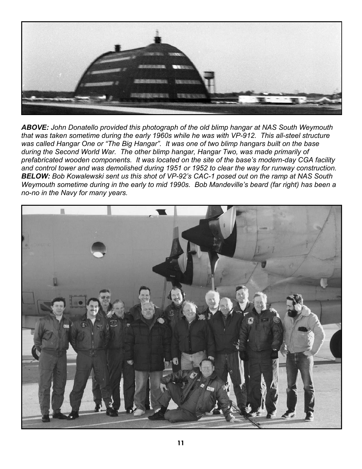

*ABOVE: John Donatello provided this photograph of the old blimp hangar at NAS South Weymouth that was taken sometime during the early 1960s while he was with VP-912. This all-steel structure was called Hangar One or "The Big Hangar". It was one of two blimp hangars built on the base during the Second World War. The other blimp hangar, Hangar Two, was made primarily of prefabricated wooden components. It was located on the site of the base's modern-day CGA facility and control tower and was demolished during 1951 or 1952 to clear the way for runway construction. BELOW: Bob Kowalewski sent us this shot of VP-92's CAC-1 posed out on the ramp at NAS South Weymouth sometime during in the early to mid 1990s. Bob Mandeville's beard (far right) has been a no-no in the Navy for many years.*